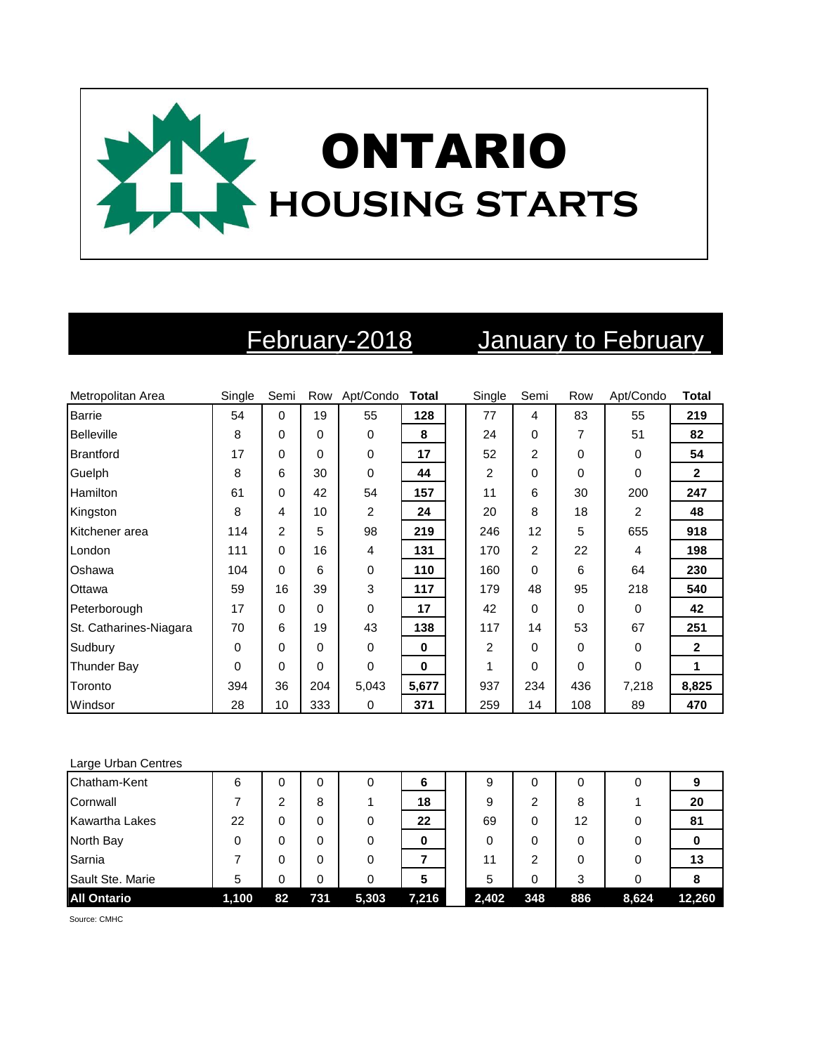

# February-2018 January to February

| Metropolitan Area      | Single   | Semi        |          | Row Apt/Condo | <b>Total</b> | Single         | Semi           | Row | Apt/Condo   | <b>Total</b> |
|------------------------|----------|-------------|----------|---------------|--------------|----------------|----------------|-----|-------------|--------------|
| <b>Barrie</b>          | 54       | $\mathbf 0$ | 19       | 55            | 128          | 77             | 4              | 83  | 55          | 219          |
| <b>Belleville</b>      | 8        | 0           | $\Omega$ | 0             | 8            | 24             | 0              | 7   | 51          | 82           |
| Brantford              | 17       | 0           | $\Omega$ | 0             | 17           | 52             | 2              | 0   | 0           | 54           |
| Guelph                 | 8        | 6           | 30       | 0             | 44           | 2              | 0              | 0   | $\Omega$    | $\mathbf{2}$ |
| Hamilton               | 61       | 0           | 42       | 54            | 157          | 11             | 6              | 30  | 200         | 247          |
| Kingston               | 8        | 4           | 10       | 2             | 24           | 20             | 8              | 18  | 2           | 48           |
| Kitchener area         | 114      | 2           | 5        | 98            | 219          | 246            | 12             | 5   | 655         | 918          |
| London                 | 111      | 0           | 16       | 4             | 131          | 170            | $\overline{2}$ | 22  | 4           | 198          |
| Oshawa                 | 104      | 0           | 6        | 0             | 110          | 160            | 0              | 6   | 64          | 230          |
| Ottawa                 | 59       | 16          | 39       | 3             | 117          | 179            | 48             | 95  | 218         | 540          |
| Peterborough           | 17       | 0           | $\Omega$ | 0             | 17           | 42             | 0              | 0   | $\Omega$    | 42           |
| St. Catharines-Niagara | 70       | 6           | 19       | 43            | 138          | 117            | 14             | 53  | 67          | 251          |
| Sudbury                | 0        | 0           | $\Omega$ | 0             | 0            | $\overline{2}$ | 0              | 0   | $\mathbf 0$ | $\mathbf{2}$ |
| <b>Thunder Bay</b>     | $\Omega$ | 0           | $\Omega$ | 0             | $\bf{0}$     | 1              | 0              | 0   | $\Omega$    | $\mathbf{1}$ |
| Toronto                | 394      | 36          | 204      | 5,043         | 5,677        | 937            | 234            | 436 | 7,218       | 8,825        |
| Windsor                | 28       | 10          | 333      | 0             | 371          | 259            | 14             | 108 | 89          | 470          |

### Large Urban Centres

| Chatham-Kent          | 6     |    |     | 0     | 6     | 9     |     | 0   |       |        |
|-----------------------|-------|----|-----|-------|-------|-------|-----|-----|-------|--------|
| Cornwall              |       | າ  | 8   |       | 18    | 9     | ◠   | 8   |       | 20     |
| <b>Kawartha Lakes</b> | 22    | 0  | 0   |       | 22    | 69    | 0   | 12  |       | 81     |
| North Bay             |       | 0  | 0   | 0     | 0     | 0     |     | 0   |       |        |
| Sarnia                |       | 0  |     | 0     |       | 11    | າ   | 0   |       | 13     |
| Sault Ste. Marie      | 5     | 0  | 0   | 0     | 5     | 5     | 0   | 3   |       |        |
| <b>All Ontario</b>    | 1,100 | 82 | 731 | 5,303 | 7,216 | 2,402 | 348 | 886 | 8,624 | 12,260 |

Source: CMHC